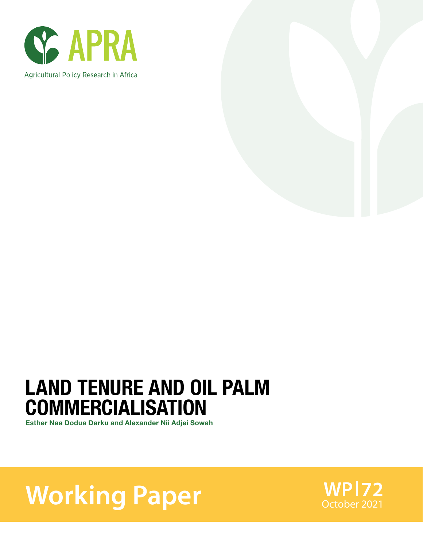



## LAND TENURE AND OIL PALM COMMERCIALISATION

Esther Naa Dodua Darku and Alexander Nii Adjei Sowah

**Working Paper** WPI72

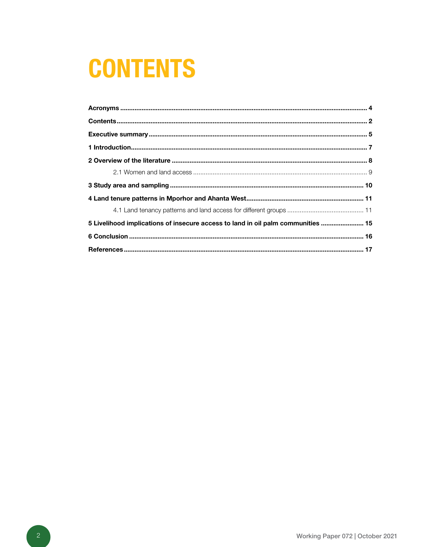# **CONTENTS**

| 5 Livelihood implications of insecure access to land in oil palm communities  15 |  |
|----------------------------------------------------------------------------------|--|
|                                                                                  |  |
|                                                                                  |  |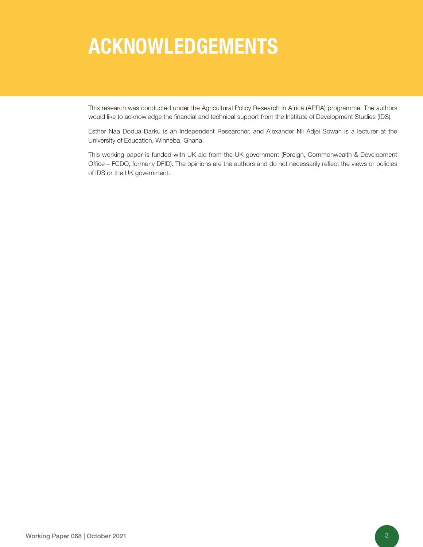## ACKNOWLEDGEMENTS

This research was conducted under the Agricultural Policy Research in Africa (APRA) programme. The authors would like to acknowledge the financial and technical support from the Institute of Development Studies (IDS).

Esther Naa Dodua Darku is an Independent Researcher, and Alexander Nii Adjei Sowah is a lecturer at the University of Education, Winneba, Ghana.

This working paper is funded with UK aid from the UK government (Foreign, Commonwealth & Development Office – FCDO, formerly DFID). The opinions are the authors and do not necessarily reflect the views or policies of IDS or the UK government.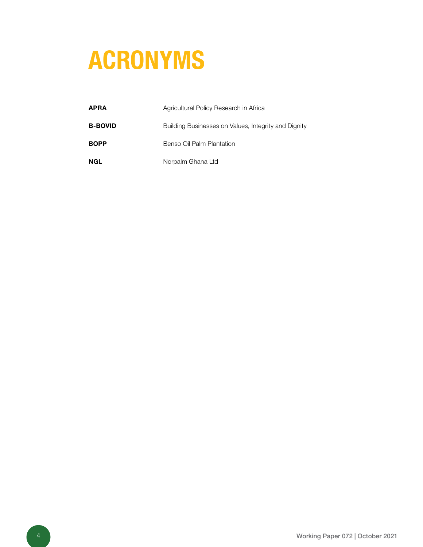# ACRONYMS

| APRA           | Agricultural Policy Research in Africa               |
|----------------|------------------------------------------------------|
| <b>B-BOVID</b> | Building Businesses on Values, Integrity and Dignity |
| <b>BOPP</b>    | Benso Oil Palm Plantation                            |
| NGL            | Norpalm Ghana Ltd                                    |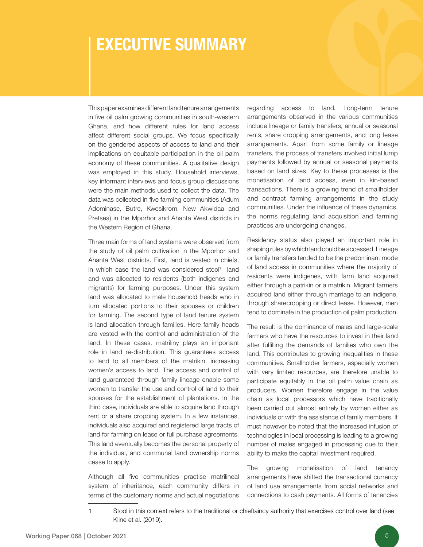### EXECUTIVE SUMMARY

This paper examines different land tenure arrangements in five oil palm growing communities in south-western Ghana, and how different rules for land access affect different social groups. We focus specifically on the gendered aspects of access to land and their implications on equitable participation in the oil palm economy of these communities. A qualitative design was employed in this study. Household interviews, key informant interviews and focus group discussions were the main methods used to collect the data. The data was collected in five farming communities (Adum Adominase, Butre, Kwesikrom, New Akwidaa and Pretsea) in the Mporhor and Ahanta West districts in the Western Region of Ghana.

Three main forms of land systems were observed from the study of oil palm cultivation in the Mporhor and Ahanta West districts. First, land is vested in chiefs, in which case the land was considered stool<sup>1</sup> land and was allocated to residents (both indigenes and migrants) for farming purposes. Under this system land was allocated to male household heads who in turn allocated portions to their spouses or children for farming. The second type of land tenure system is land allocation through families. Here family heads are vested with the control and administration of the land. In these cases, matriliny plays an important role in land re-distribution. This guarantees access to land to all members of the matrikin, increasing women's access to land. The access and control of land guaranteed through family lineage enable some women to transfer the use and control of land to their spouses for the establishment of plantations. In the third case, individuals are able to acquire land through rent or a share cropping system. In a few instances, individuals also acquired and registered large tracts of land for farming on lease or full purchase agreements. This land eventually becomes the personal property of the individual, and communal land ownership norms cease to apply.

Although all five communities practise matrilineal system of inheritance, each community differs in terms of the customary norms and actual negotiations regarding access to land. Long-term tenure arrangements observed in the various communities include lineage or family transfers, annual or seasonal rents, share cropping arrangements, and long lease arrangements. Apart from some family or lineage transfers, the process of transfers involved initial lump payments followed by annual or seasonal payments based on land sizes. Key to these processes is the monetisation of land access, even in kin-based transactions. There is a growing trend of smallholder and contract farming arrangements in the study communities. Under the influence of these dynamics, the norms regulating land acquisition and farming practices are undergoing changes.

Residency status also played an important role in shaping rules by which land could be accessed. Lineage or family transfers tended to be the predominant mode of land access in communities where the majority of residents were indigenes, with farm land acquired either through a patrikin or a matrikin. Migrant farmers acquired land either through marriage to an indigene, through sharecropping or direct lease. However, men tend to dominate in the production oil palm production.

The result is the dominance of males and large-scale farmers who have the resources to invest in their land after fulfilling the demands of families who own the land. This contributes to growing inequalities in these communities. Smallholder farmers, especially women with very limited resources, are therefore unable to participate equitably in the oil palm value chain as producers. Women therefore engage in the value chain as local processors which have traditionally been carried out almost entirely by women either as individuals or with the assistance of family members. It must however be noted that the increased infusion of technologies in local processing is leading to a growing number of males engaged in processing due to their ability to make the capital investment required.

The growing monetisation of land tenancy arrangements have shifted the transactional currency of land use arrangements from social networks and connections to cash payments. All forms of tenancies

<sup>1</sup> Stool in this context refers to the traditional or chieftaincy authority that exercises control over land (see Kline et al. (2019).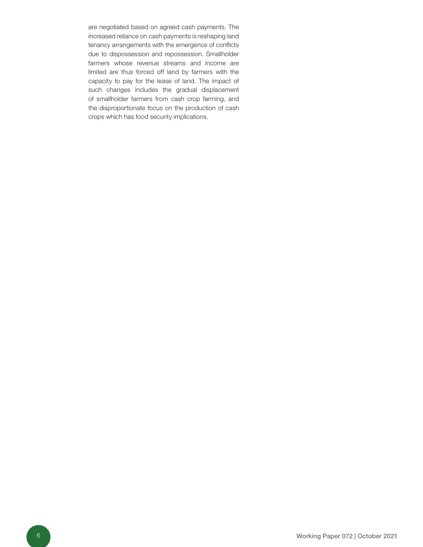are negotiated based on agreed cash payments. The increased reliance on cash payments is reshaping land tenancy arrangements with the emergence of conflicts due to dispossession and repossession. Smallholder farmers whose revenue streams and income are limited are thus forced off land by farmers with the capacity to pay for the lease of land. The impact of such changes includes the gradual displacement of smallholder farmers from cash crop farming, and the disproportionate focus on the production of cash crops which has food security implications.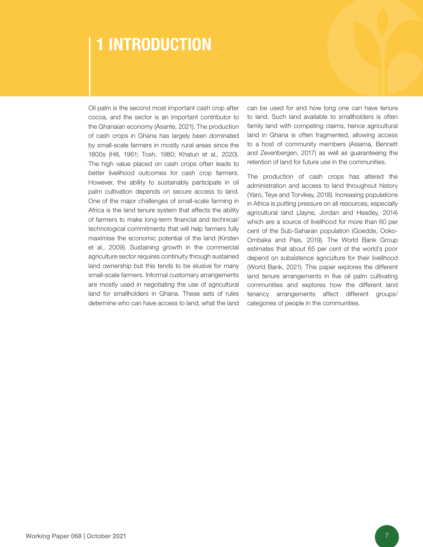### 1 INTRODUCTION

Oil palm is the second most important cash crop after cocoa, and the sector is an important contributor to the Ghanaian economy (Asante, 2021). The production of cash crops in Ghana has largely been dominated by small-scale farmers in mostly rural areas since the 1800s (Hill, 1961; Tosh, 1980; Khatun et al., 2020). The high value placed on cash crops often leads to better livelihood outcomes for cash crop farmers. However, the ability to sustainably participate in oil palm cultivation depends on secure access to land. One of the major challenges of small-scale farming in Africa is the land tenure system that affects the ability of farmers to make long-term financial and technical/ technological commitments that will help farmers fully maximise the economic potential of the land (Kirsten et al., 2009). Sustaining growth in the commercial agriculture sector requires continuity through sustained land ownership but this tends to be elusive for many small-scale farmers. Informal customary arrangements are mostly used in negotiating the use of agricultural land for smallholders in Ghana. These sets of rules determine who can have access to land, what the land

can be used for and how long one can have tenure to land. Such land available to smallholders is often family land with competing claims, hence agricultural land in Ghana is often fragmented, allowing access to a host of community members (Asiama, Bennett and Zevenbergen, 2017) as well as guaranteeing the retention of land for future use in the communities.

The production of cash crops has altered the administration and access to land throughout history (Yaro, Teye and Torvikey, 2018). Increasing populations in Africa is putting pressure on all resources, especially agricultural land (Jayne, Jordan and Headey, 2014) which are a source of livelihood for more than 60 per cent of the Sub-Saharan population (Goedde, Ooko-Ombaka and Pais, 2019). The World Bank Group estimates that about 65 per cent of the world's poor depend on subsistence agriculture for their livelihood (World Bank, 2021). This paper explores the different land tenure arrangements in five oil palm cultivating communities and explores how the different land tenancy arrangements affect different groups/ categories of people in the communities.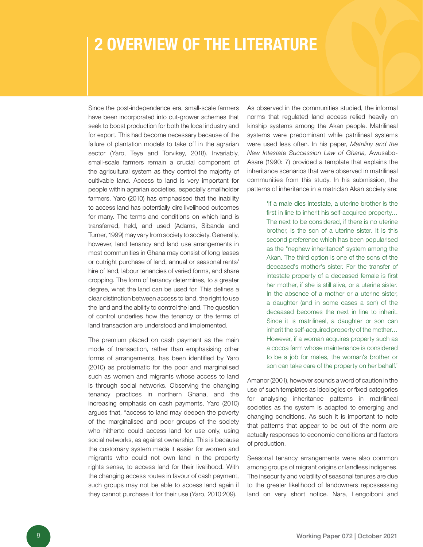### 2 OVERVIEW OF THE LITERATURE

Since the post-independence era, small-scale farmers have been incorporated into out-grower schemes that seek to boost production for both the local industry and for export. This had become necessary because of the failure of plantation models to take off in the agrarian sector (Yaro, Teye and Torvikey, 2018). Invariably, small-scale farmers remain a crucial component of the agricultural system as they control the majority of cultivable land. Access to land is very important for people within agrarian societies, especially smallholder farmers. Yaro (2010) has emphasised that the inability to access land has potentially dire livelihood outcomes for many. The terms and conditions on which land is transferred, held, and used (Adams, Sibanda and Turner, 1999) may vary from society to society. Generally, however, land tenancy and land use arrangements in most communities in Ghana may consist of long leases or outright purchase of land, annual or seasonal rents/ hire of land, labour tenancies of varied forms, and share cropping. The form of tenancy determines, to a greater degree, what the land can be used for. This defines a clear distinction between access to land, the right to use the land and the ability to control the land. The question of control underlies how the tenancy or the terms of land transaction are understood and implemented.

The premium placed on cash payment as the main mode of transaction, rather than emphasising other forms of arrangements, has been identified by Yaro (2010) as problematic for the poor and marginalised such as women and migrants whose access to land is through social networks. Observing the changing tenancy practices in northern Ghana, and the increasing emphasis on cash payments, Yaro (2010) argues that, "access to land may deepen the poverty of the marginalised and poor groups of the society who hitherto could access land for use only, using social networks, as against ownership. This is because the customary system made it easier for women and migrants who could not own land in the property rights sense, to access land for their livelihood. With the changing access routes in favour of cash payment, such groups may not be able to access land again if they cannot purchase it for their use (Yaro, 2010:209).

As observed in the communities studied, the informal norms that regulated land access relied heavily on kinship systems among the Akan people. Matrilineal systems were predominant while patrilineal systems were used less often. In his paper, *Matriliny and the New Intestate Succession Law of Ghana,* Awusabo-Asare (1990: 7) provided a template that explains the inheritance scenarios that were observed in matrilineal communities from this study. In his submission, the patterns of inheritance in a matriclan Akan society are:

> 'If a male dies intestate, a uterine brother is the first in line to inherit his self-acquired property… The next to be considered, if there is no uterine brother, is the son of a uterine sister. It is this second preference which has been popularised as the "nephew inheritance" system among the Akan. The third option is one of the sons of the deceased's mother's sister. For the transfer of intestate property of a deceased female is first her mother, if she is still alive, or a uterine sister. In the absence of a mother or a uterine sister, a daughter (and in some cases a son) of the deceased becomes the next in line to inherit. Since it is matrilineal, a daughter or son can inherit the self-acquired property of the mother… However, if a woman acquires property such as a cocoa farm whose maintenance is considered to be a job for males, the woman's brother or son can take care of the property on her behalf.'

Amanor (2001), however sounds a word of caution in the use of such templates as ideologies or fixed categories for analysing inheritance patterns in matrilineal societies as the system is adapted to emerging and changing conditions. As such it is important to note that patterns that appear to be out of the norm are actually responses to economic conditions and factors of production.

Seasonal tenancy arrangements were also common among groups of migrant origins or landless indigenes. The insecurity and volatility of seasonal tenures are due to the greater likelihood of landowners repossessing land on very short notice. Nara, Lengoiboni and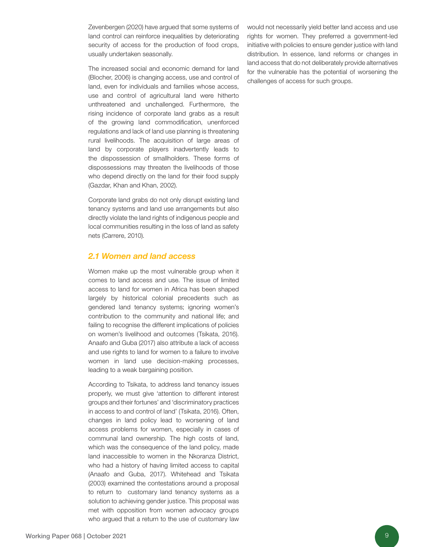Zevenbergen (2020) have argued that some systems of land control can reinforce inequalities by deteriorating security of access for the production of food crops, usually undertaken seasonally.

The increased social and economic demand for land (Blocher, 2006) is changing access, use and control of land, even for individuals and families whose access, use and control of agricultural land were hitherto unthreatened and unchallenged. Furthermore, the rising incidence of corporate land grabs as a result of the growing land commodification, unenforced regulations and lack of land use planning is threatening rural livelihoods. The acquisition of large areas of land by corporate players inadvertently leads to the dispossession of smallholders. These forms of dispossessions may threaten the livelihoods of those who depend directly on the land for their food supply (Gazdar, Khan and Khan, 2002).

Corporate land grabs do not only disrupt existing land tenancy systems and land use arrangements but also directly violate the land rights of indigenous people and local communities resulting in the loss of land as safety nets (Carrere, 2010).

#### *2.1 Women and land access*

Women make up the most vulnerable group when it comes to land access and use. The issue of limited access to land for women in Africa has been shaped largely by historical colonial precedents such as gendered land tenancy systems; ignoring women's contribution to the community and national life; and failing to recognise the different implications of policies on women's livelihood and outcomes (Tsikata, 2016). Anaafo and Guba (2017) also attribute a lack of access and use rights to land for women to a failure to involve women in land use decision-making processes, leading to a weak bargaining position.

According to Tsikata, to address land tenancy issues properly, we must give 'attention to different interest groups and their fortunes' and 'discriminatory practices in access to and control of land' (Tsikata, 2016). Often, changes in land policy lead to worsening of land access problems for women, especially in cases of communal land ownership. The high costs of land, which was the consequence of the land policy, made land inaccessible to women in the Nkoranza District, who had a history of having limited access to capital (Anaafo and Guba, 2017). Whitehead and Tsikata (2003) examined the contestations around a proposal to return to customary land tenancy systems as a solution to achieving gender justice. This proposal was met with opposition from women advocacy groups who argued that a return to the use of customary law

would not necessarily yield better land access and use rights for women. They preferred a government-led initiative with policies to ensure gender justice with land distribution. In essence, land reforms or changes in land access that do not deliberately provide alternatives for the vulnerable has the potential of worsening the challenges of access for such groups.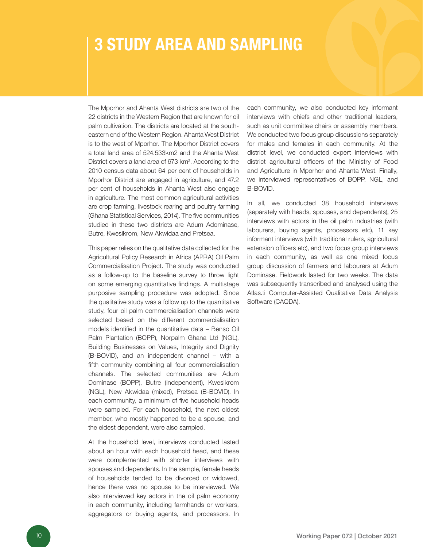### 3 STUDY AREA AND SAMPLING

The Mporhor and Ahanta West districts are two of the 22 districts in the Western Region that are known for oil palm cultivation. The districts are located at the southeastern end of the Western Region. Ahanta West District is to the west of Mporhor. The Mporhor District covers a total land area of 524.533km2 and the Ahanta West District covers a land area of 673 km<sup>2</sup>. According to the 2010 census data about 64 per cent of households in Mporhor District are engaged in agriculture, and 47.2 per cent of households in Ahanta West also engage in agriculture. The most common agricultural activities are crop farming, livestock rearing and poultry farming (Ghana Statistical Services, 2014). The five communities studied in these two districts are Adum Adominase, Butre, Kwesikrom, New Akwidaa and Pretsea.

This paper relies on the qualitative data collected for the Agricultural Policy Research in Africa (APRA) Oil Palm Commercialisation Project. The study was conducted as a follow-up to the baseline survey to throw light on some emerging quantitative findings. A multistage purposive sampling procedure was adopted. Since the qualitative study was a follow up to the quantitative study, four oil palm commercialisation channels were selected based on the different commercialisation models identified in the quantitative data – Benso Oil Palm Plantation (BOPP), Norpalm Ghana Ltd (NGL), Building Businesses on Values, Integrity and Dignity (B-BOVID), and an independent channel – with a fifth community combining all four commercialisation channels. The selected communities are Adum Dominase (BOPP), Butre (independent), Kwesikrom (NGL), New Akwidaa (mixed), Pretsea (B-BOVID). In each community, a minimum of five household heads were sampled. For each household, the next oldest member, who mostly happened to be a spouse, and the eldest dependent, were also sampled.

At the household level, interviews conducted lasted about an hour with each household head, and these were complemented with shorter interviews with spouses and dependents. In the sample, female heads of households tended to be divorced or widowed, hence there was no spouse to be interviewed. We also interviewed key actors in the oil palm economy in each community, including farmhands or workers, aggregators or buying agents, and processors. In each community, we also conducted key informant interviews with chiefs and other traditional leaders, such as unit committee chairs or assembly members. We conducted two focus group discussions separately for males and females in each community. At the district level, we conducted expert interviews with district agricultural officers of the Ministry of Food and Agriculture in Mporhor and Ahanta West. Finally, we interviewed representatives of BOPP, NGL, and B-BOVID.

In all, we conducted 38 household interviews (separately with heads, spouses, and dependents), 25 interviews with actors in the oil palm industries (with labourers, buying agents, processors etc), 11 key informant interviews (with traditional rulers, agricultural extension officers etc), and two focus group interviews in each community, as well as one mixed focus group discussion of farmers and labourers at Adum Dominase. Fieldwork lasted for two weeks. The data was subsequently transcribed and analysed using the Atlas.ti Computer-Assisted Qualitative Data Analysis Software (CAQDA).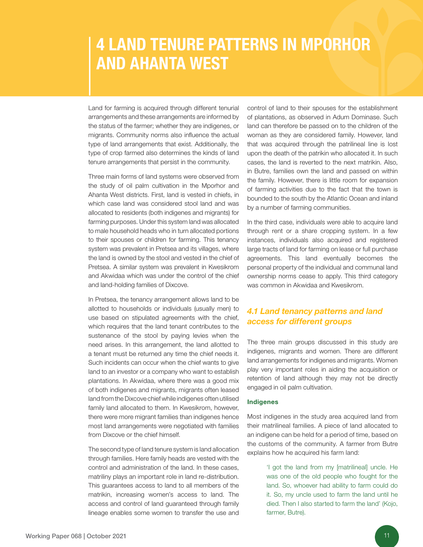### 4 LAND TENURE PATTERNS IN MPORHOR AND AHANTA WEST

Land for farming is acquired through different tenurial arrangements and these arrangements are informed by the status of the farmer; whether they are indigenes, or migrants. Community norms also influence the actual type of land arrangements that exist. Additionally, the type of crop farmed also determines the kinds of land tenure arrangements that persist in the community.

Three main forms of land systems were observed from the study of oil palm cultivation in the Mporhor and Ahanta West districts. First, land is vested in chiefs, in which case land was considered stool land and was allocated to residents (both indigenes and migrants) for farming purposes. Under this system land was allocated to male household heads who in turn allocated portions to their spouses or children for farming. This tenancy system was prevalent in Pretsea and its villages, where the land is owned by the stool and vested in the chief of Pretsea. A similar system was prevalent in Kwesikrom and Akwidaa which was under the control of the chief and land-holding families of Dixcove.

In Pretsea, the tenancy arrangement allows land to be allotted to households or individuals (usually men) to use based on stipulated agreements with the chief, which requires that the land tenant contributes to the sustenance of the stool by paying levies when the need arises. In this arrangement, the land allotted to a tenant must be returned any time the chief needs it. Such incidents can occur when the chief wants to give land to an investor or a company who want to establish plantations. In Akwidaa, where there was a good mix of both indigenes and migrants, migrants often leased land from the Dixcove chief while indigenes often utilised family land allocated to them. In Kwesikrom, however, there were more migrant families than indigenes hence most land arrangements were negotiated with families from Dixcove or the chief himself.

The second type of land tenure system is land allocation through families. Here family heads are vested with the control and administration of the land. In these cases, matriliny plays an important role in land re-distribution. This guarantees access to land to all members of the matrikin, increasing women's access to land. The access and control of land guaranteed through family lineage enables some women to transfer the use and

control of land to their spouses for the establishment of plantations, as observed in Adum Dominase. Such land can therefore be passed on to the children of the woman as they are considered family. However, land that was acquired through the patrilineal line is lost upon the death of the patrikin who allocated it. In such cases, the land is reverted to the next matrikin. Also, in Butre, families own the land and passed on within the family. However, there is little room for expansion of farming activities due to the fact that the town is bounded to the south by the Atlantic Ocean and inland by a number of farming communities.

In the third case, individuals were able to acquire land through rent or a share cropping system. In a few instances, individuals also acquired and registered large tracts of land for farming on lease or full purchase agreements. This land eventually becomes the personal property of the individual and communal land ownership norms cease to apply. This third category was common in Akwidaa and Kwesikrom.

#### *4.1 Land tenancy patterns and land access for different groups*

The three main groups discussed in this study are indigenes, migrants and women. There are different land arrangements for indigenes and migrants. Women play very important roles in aiding the acquisition or retention of land although they may not be directly engaged in oil palm cultivation.

#### Indigenes

Most indigenes in the study area acquired land from their matrilineal families. A piece of land allocated to an indigene can be held for a period of time, based on the customs of the community. A farmer from Butre explains how he acquired his farm land:

> 'I got the land from my [matrilineal] uncle. He was one of the old people who fought for the land. So, whoever had ability to farm could do it. So, my uncle used to farm the land until he died. Then I also started to farm the land' (Kojo, farmer, Butre).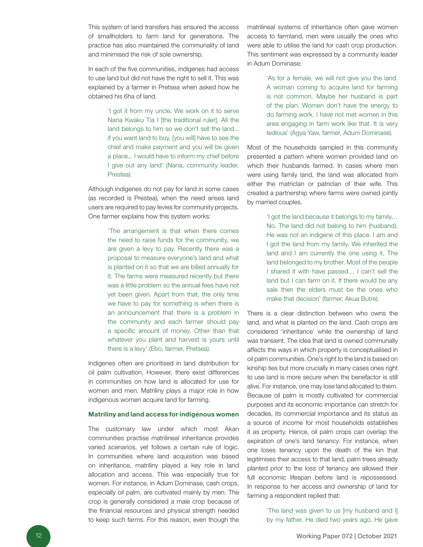This system of land transfers has ensured the access of smallholders to farm land for generations. The practice has also maintained the communality of land and minimised the risk of sole ownership.

In each of the five communities, indigenes had access to use land but did not have the right to sell it. This was explained by a farmer in Pretsea when asked how he obtained his 6ha of land.

> 'I got it from my uncle. We work on it to serve Nana Kwaku Tia I [the traditional ruler]. All the land belongs to him so we don't sell the land... if you want land to buy, [you will] have to see the chief and make payment and you will be given a place... I would have to inform my chief before I give out any land' (Nana, community leader, Prestea).

Although indigenes do not pay for land in some cases (as recorded is Prestea), when the need arises land users are required to pay levies for community projects. One farmer explains how this system works:

> 'The arrangement is that when there comes the need to raise funds for the community, we are given a levy to pay. Recently there was a proposal to measure everyone's land and what is planted on it so that we are billed annually for it. The farms were measured recently but there was a little problem so the annual fees have not yet been given. Apart from that, the only time we have to pay for something is when there is an announcement that there is a problem in the community and each farmer should pay a specific amount of money. Other than that whatever you plant and harvest is yours until there is a levy' (Ebo, farmer, Pretsea).

Indigenes often are prioritised in land distribution for oil palm cultivation. However, there exist differences in communities on how land is allocated for use for women and men. Matriliny plays a major role in how indigenous women acquire land for farming.

#### Matriliny and land access for indigenous women

The customary law under which most Akan communities practise matrilineal inheritance provides varied scenarios, yet follows a certain rule of logic. In communities where land acquisition was based on inheritance, matriliny played a key role in land allocation and access. This was especially true for women. For instance, in Adum Dominase, cash crops, especially oil palm, are cultivated mainly by men. The crop is generally considered a male crop because of the financial resources and physical strength needed to keep such farms. For this reason, even though the

matrilineal systems of inheritance often gave women access to farmland, men were usually the ones who were able to utilise the land for cash crop production. This sentiment was expressed by a community leader in Adum Dominase:

> 'As for a female, we will not give you the land. A woman coming to acquire land for farming is not common. Maybe her husband is part of the plan. Women don't have the energy to do farming work. I have not met women in this area engaging in farm work like that. It is very tedious' (Agya Yaw, farmer, Adum Dominase).

Most of the households sampled in this community presented a pattern where women provided land on which their husbands farmed. In cases where men were using family land, the land was allocated from either the matriclan or patriclan of their wife. This created a partnership where farms were owned jointly by married couples.

> 'I got the land because it belongs to my family… No. The land did not belong to him (husband). He was not an indigene of this place. I am and I got the land from my family. We inherited the land and I am currently the one using it. The land belonged to my brother. Most of the people I shared it with have passed… I can't sell the land but I can farm on it. If there would be any sale then the elders must be the ones who make that decision' (farmer, Akua Butre).

There is a clear distinction between who owns the land, and what is planted on the land. Cash crops are considered 'inheritance' while the ownership of land was transient. The idea that land is owned communally affects the ways in which property is conceptualised in oil palm communities. One's right to the land is based on kinship ties but more crucially in many cases ones right to use land is more secure when the benefactor is still alive. For instance, one may lose land allocated to them. Because oil palm is mostly cultivated for commercial purposes and its economic importance can stretch for decades, its commercial importance and its status as a source of income for most households establishes it as property. Hence, oil palm crops can overlap the expiration of one's land tenancy. For instance, when one loses tenancy upon the death of the kin that legitimises their access to that land, palm trees already planted prior to the loss of tenancy are allowed their full economic lifespan before land is repossessed. In response to her access and ownership of land for farming a respondent replied that:

> 'The land was given to us [my husband and I] by my father. He died two years ago. He gave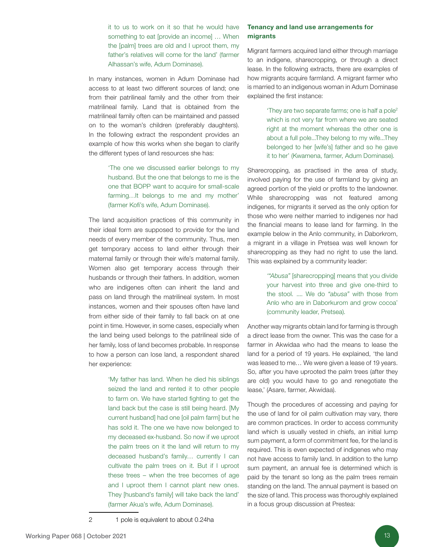it to us to work on it so that he would have something to eat [provide an income] … When the [palm] trees are old and I uproot them, my father's relatives will come for the land' (farmer Alhassan's wife, Adum Dominase).

In many instances, women in Adum Dominase had access to at least two different sources of land; one from their patrilineal family and the other from their matrilineal family. Land that is obtained from the matrilineal family often can be maintained and passed on to the woman's children (preferably daughters). In the following extract the respondent provides an example of how this works when she began to clarify the different types of land resources she has:

> 'The one we discussed earlier belongs to my husband. But the one that belongs to me is the one that BOPP want to acquire for small-scale farming…It belongs to me and my mother' (farmer Kofi's wife, Adum Dominase).

The land acquisition practices of this community in their ideal form are supposed to provide for the land needs of every member of the community. Thus, men get temporary access to land either through their maternal family or through their wife's maternal family. Women also get temporary access through their husbands or through their fathers. In addition, women who are indigenes often can inherit the land and pass on land through the matrilineal system. In most instances, women and their spouses often have land from either side of their family to fall back on at one point in time. However, in some cases, especially when the land being used belongs to the patrilineal side of her family, loss of land becomes probable. In response to how a person can lose land, a respondent shared her experience:

> 'My father has land. When he died his siblings seized the land and rented it to other people to farm on. We have started fighting to get the land back but the case is still being heard. [My current husband] had one [oil palm farm] but he has sold it. The one we have now belonged to my deceased ex-husband. So now if we uproot the palm trees on it the land will return to my deceased husband's family… currently I can cultivate the palm trees on it. But if I uproot these trees – when the tree becomes of age and I uproot them I cannot plant new ones. They [husband's family] will take back the land' (farmer Akua's wife, Adum Dominase).

#### Tenancy and land use arrangements for migrants

Migrant farmers acquired land either through marriage to an indigene, sharecropping, or through a direct lease. In the following extracts, there are examples of how migrants acquire farmland. A migrant farmer who is married to an indigenous woman in Adum Dominase explained the first instance:

> 'They are two separate farms; one is half a pole<sup>2</sup> which is not very far from where we are seated right at the moment whereas the other one is about a full pole...They belong to my wife...They belonged to her [wife's] father and so he gave it to her' (Kwamena, farmer, Adum Dominase).

Sharecropping, as practised in the area of study, involved paying for the use of farmland by giving an agreed portion of the yield or profits to the landowner. While sharecropping was not featured among indigenes, for migrants it served as the only option for those who were neither married to indigenes nor had the financial means to lease land for farming. In the example below in the Anlo community, in Daborkrom, a migrant in a village in Pretsea was well known for sharecropping as they had no right to use the land. This was explained by a community leader:

> *'"Abusa"* [sharecropping] means that you divide your harvest into three and give one-third to the stool. .... We do *"abusa"* with those from Anlo who are in Daborkurom and grow cocoa' (community leader, Pretsea).

Another way migrants obtain land for farming is through a direct lease from the owner. This was the case for a farmer in Akwidaa who had the means to lease the land for a period of 19 years. He explained, 'the land was leased to me… We were given a lease of 19 years. So, after you have uprooted the palm trees (after they are old) you would have to go and renegotiate the lease,' (Asare, farmer, Akwidaa).

Though the procedures of accessing and paying for the use of land for oil palm cultivation may vary, there are common practices. In order to access community land which is usually vested in chiefs, an initial lump sum payment, a form of commitment fee, for the land is required. This is even expected of indigenes who may not have access to family land. In addition to the lump sum payment, an annual fee is determined which is paid by the tenant so long as the palm trees remain standing on the land. The annual payment is based on the size of land. This process was thoroughly explained in a focus group discussion at Prestea: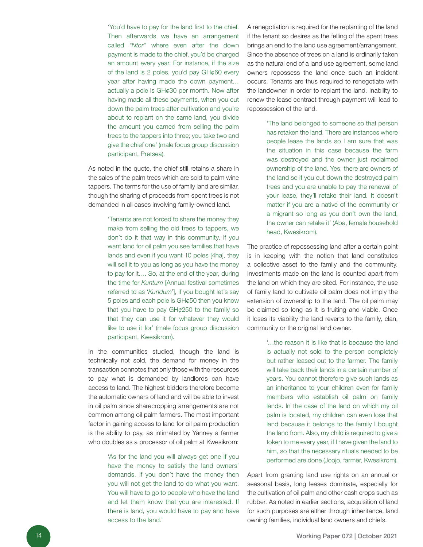'You'd have to pay for the land first to the chief. Then afterwards we have an arrangement called *"Ntor"* where even after the down payment is made to the chief, you'd be charged an amount every year. For instance, if the size of the land is 2 poles, you'd pay GH*¢*60 every year after having made the down payment… actually a pole is GH*¢*30 per month. Now after having made all these payments, when you cut down the palm trees after cultivation and you're about to replant on the same land, you divide the amount you earned from selling the palm trees to the tappers into three; you take two and give the chief one' (male focus group discussion participant, Pretsea).

As noted in the quote, the chief still retains a share in the sales of the palm trees which are sold to palm wine tappers. The terms for the use of family land are similar, though the sharing of proceeds from spent trees is not demanded in all cases involving family-owned land.

> 'Tenants are not forced to share the money they make from selling the old trees to tappers, we don't do it that way in this community. If you want land for oil palm you see families that have lands and even if you want 10 poles [4ha], they will sell it to you as long as you have the money to pay for it.… So, at the end of the year, during the time for *Kuntum* [Annual festival sometimes referred to as '*Kundum*'], if you bought let's say 5 poles and each pole is GH*¢*50 then you know that you have to pay GH*¢*250 to the family so that they can use it for whatever they would like to use it for' (male focus group discussion participant, Kwesikrom).

In the communities studied, though the land is technically not sold, the demand for money in the transaction connotes that only those with the resources to pay what is demanded by landlords can have access to land. The highest bidders therefore become the automatic owners of land and will be able to invest in oil palm since sharecropping arrangements are not common among oil palm farmers. The most important factor in gaining access to land for oil palm production is the ability to pay, as intimated by Yanney a farmer who doubles as a processor of oil palm at Kwesikrom:

> 'As for the land you will always get one if you have the money to satisfy the land owners' demands. If you don't have the money then you will not get the land to do what you want. You will have to go to people who have the land and let them know that you are interested. If there is land, you would have to pay and have access to the land.'

A renegotiation is required for the replanting of the land if the tenant so desires as the felling of the spent trees brings an end to the land use agreement/arrangement. Since the absence of trees on a land is ordinarily taken as the natural end of a land use agreement, some land owners repossess the land once such an incident occurs. Tenants are thus required to renegotiate with the landowner in order to replant the land. Inability to renew the lease contract through payment will lead to repossession of the land.

> 'The land belonged to someone so that person has retaken the land. There are instances where people lease the lands so I am sure that was the situation in this case because the farm was destroyed and the owner just reclaimed ownership of the land. Yes, there are owners of the land so if you cut down the destroyed palm trees and you are unable to pay the renewal of your lease, they'll retake their land. It doesn't matter if you are a native of the community or a migrant so long as you don't own the land, the owner can retake it' (Aba, female household head, Kwesikrom).

The practice of repossessing land after a certain point is in keeping with the notion that land constitutes a collective asset to the family and the community. Investments made on the land is counted apart from the land on which they are sited. For instance, the use of family land to cultivate oil palm does not imply the extension of ownership to the land. The oil palm may be claimed so long as it is fruiting and viable. Once it loses its viability the land reverts to the family, clan, community or the original land owner.

> '…the reason it is like that is because the land is actually not sold to the person completely but rather leased out to the farmer. The family will take back their lands in a certain number of years. You cannot therefore give such lands as an inheritance to your children even for family members who establish oil palm on family lands. In the case of the land on which my oil palm is located, my children can even lose that land because it belongs to the family I bought the land from. Also, my child is required to give a token to me every year, if I have given the land to him, so that the necessary rituals needed to be performed are done (Joojo, farmer, Kwesikrom).

Apart from granting land use rights on an annual or seasonal basis, long leases dominate, especially for the cultivation of oil palm and other cash crops such as rubber. As noted in earlier sections, acquisition of land for such purposes are either through inheritance, land owning families, individual land owners and chiefs.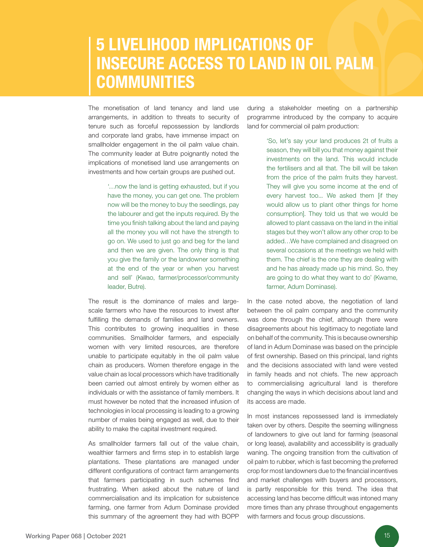### 5 LIVELIHOOD IMPLICATIONS OF INSECURE ACCESS TO LAND IN OIL PALM **COMMUNITIES**

The monetisation of land tenancy and land use arrangements, in addition to threats to security of tenure such as forceful repossession by landlords and corporate land grabs, have immense impact on smallholder engagement in the oil palm value chain. The community leader at Butre poignantly noted the implications of monetised land use arrangements on investments and how certain groups are pushed out.

> '…now the land is getting exhausted, but if you have the money, you can get one. The problem now will be the money to buy the seedlings, pay the labourer and get the inputs required. By the time you finish talking about the land and paying all the money you will not have the strength to go on. We used to just go and beg for the land and then we are given. The only thing is that you give the family or the landowner something at the end of the year or when you harvest and sell' (Kwao, farmer/processor/community leader, Butre).

The result is the dominance of males and largescale farmers who have the resources to invest after fulfilling the demands of families and land owners. This contributes to growing inequalities in these communities. Smallholder farmers, and especially women with very limited resources, are therefore unable to participate equitably in the oil palm value chain as producers. Women therefore engage in the value chain as local processors which have traditionally been carried out almost entirely by women either as individuals or with the assistance of family members. It must however be noted that the increased infusion of technologies in local processing is leading to a growing number of males being engaged as well, due to their ability to make the capital investment required.

As smallholder farmers fall out of the value chain, wealthier farmers and firms step in to establish large plantations. These plantations are managed under different configurations of contract farm arrangements that farmers participating in such schemes find frustrating. When asked about the nature of land commercialisation and its implication for subsistence farming, one farmer from Adum Dominase provided this summary of the agreement they had with BOPP

during a stakeholder meeting on a partnership programme introduced by the company to acquire land for commercial oil palm production:

> 'So, let's say your land produces 2t of fruits a season, they will bill you that money against their investments on the land. This would include the fertilisers and all that. The bill will be taken from the price of the palm fruits they harvest. They will give you some income at the end of every harvest too... We asked them [if they would allow us to plant other things for home consumption]. They told us that we would be allowed to plant cassava on the land in the initial stages but they won't allow any other crop to be added…We have complained and disagreed on several occasions at the meetings we held with them. The chief is the one they are dealing with and he has already made up his mind. So, they are going to do what they want to do' (Kwame, farmer, Adum Dominase).

In the case noted above, the negotiation of land between the oil palm company and the community was done through the chief, although there were disagreements about his legitimacy to negotiate land on behalf of the community. This is because ownership of land in Adum Dominase was based on the principle of first ownership. Based on this principal, land rights and the decisions associated with land were vested in family heads and not chiefs. The new approach to commercialising agricultural land is therefore changing the ways in which decisions about land and its access are made.

In most instances repossessed land is immediately taken over by others. Despite the seeming willingness of landowners to give out land for farming (seasonal or long lease), availability and accessibility is gradually waning. The ongoing transition from the cultivation of oil palm to rubber, which is fast becoming the preferred crop for most landowners due to the financial incentives and market challenges with buyers and processors, is partly responsible for this trend. The idea that accessing land has become difficult was intoned many more times than any phrase throughout engagements with farmers and focus group discussions.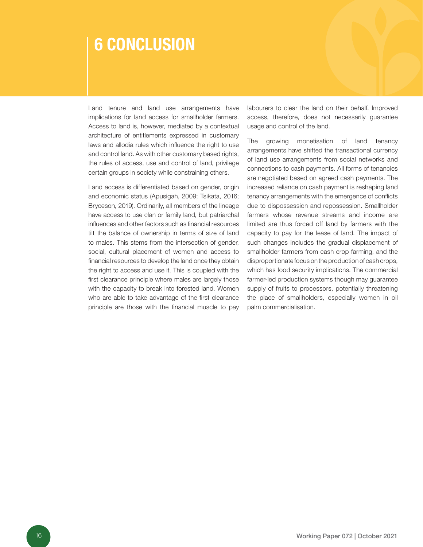### 6 CONCLUSION

Land tenure and land use arrangements have implications for land access for smallholder farmers. Access to land is, however, mediated by a contextual architecture of entitlements expressed in customary laws and allodia rules which influence the right to use and control land. As with other customary based rights, the rules of access, use and control of land, privilege certain groups in society while constraining others.

Land access is differentiated based on gender, origin and economic status (Apusigah, 2009; Tsikata, 2016; Bryceson, 2019). Ordinarily, all members of the lineage have access to use clan or family land, but patriarchal influences and other factors such as financial resources tilt the balance of ownership in terms of size of land to males. This stems from the intersection of gender, social, cultural placement of women and access to financial resources to develop the land once they obtain the right to access and use it. This is coupled with the first clearance principle where males are largely those with the capacity to break into forested land. Women who are able to take advantage of the first clearance principle are those with the financial muscle to pay labourers to clear the land on their behalf. Improved access, therefore, does not necessarily guarantee usage and control of the land.

The growing monetisation of land tenancy arrangements have shifted the transactional currency of land use arrangements from social networks and connections to cash payments. All forms of tenancies are negotiated based on agreed cash payments. The increased reliance on cash payment is reshaping land tenancy arrangements with the emergence of conflicts due to dispossession and repossession. Smallholder farmers whose revenue streams and income are limited are thus forced off land by farmers with the capacity to pay for the lease of land. The impact of such changes includes the gradual displacement of smallholder farmers from cash crop farming, and the disproportionate focus on the production of cash crops, which has food security implications. The commercial farmer-led production systems though may guarantee supply of fruits to processors, potentially threatening the place of smallholders, especially women in oil palm commercialisation.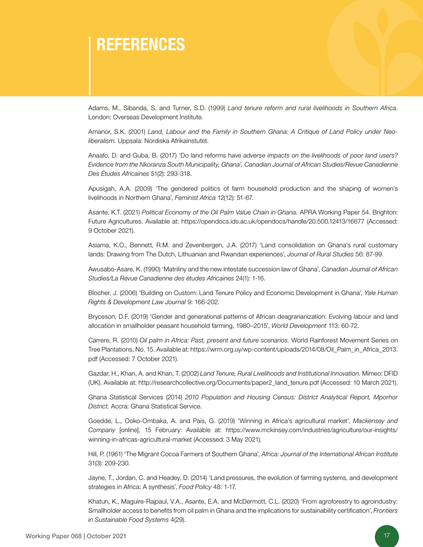### **REFERENCES**

Adams, M., Sibanda, S. and Turner, S.D. (1999) *Land tenure reform and rural livelihoods in Southern Africa*. London: Overseas Development Institute.

Amanor, S.K. (2001) *Land, Labour and the Family in Southern Ghana: A Critique of Land Policy under Neoliberalism.* Uppsala: Nordiska Afrikainstutet.

Anaafo, D. and Guba, B. (2017) 'Do land reforms have ad*verse impacts on the livelihoods of poor land users? Evidence from the Nkoranza South Municipality, Ghana', Canadian Journal of African Studies/Revue Canadienne Des Études Africaines* 51(2): 293-318.

Apusigah, A.A. (2009) 'The gendered politics of farm household production and the shaping of women's livelihoods in Northern Ghana', *Feminist Africa* 12(12): 51-67.

Asante, K.T. (2021) *Political Economy of the Oil Palm Value Chain in Ghana.* APRA Working Paper 54. Brighton: Future Agricultures. Available at: https://opendocs.ids.ac.uk/opendocs/handle/20.500.12413/16677 (Accessed: 9 October 2021).

Asiama, K.O., Bennett, R.M. and Zevenbergen, J.A. (2017) 'Land consolidation on Ghana's rural customary lands: Drawing from The Dutch, Lithuanian and Rwandan experiences', *Journal of Rural Studies* 56: 87-99.

Awusabo-Asare, K. (1990) 'Matriliny and the new intestate succession law of Ghana', *Canadian Journal of African Studies/La Revue Canadienne des études Africaines* 24(1): 1-16.

Blocher, J. (2006) 'Building on Custom: Land Tenure Policy and Economic Development in Ghana', *Yale Human Rights & Development Law Journal* 9: 166-202.

Bryceson, D.F. (2019) 'Gender and generational patterns of African deagrarianization: Evolving labour and land allocation in smallholder peasant household farming, 1980–2015', *World Development* 113: 60-72.

Carrere, R. (2010) *Oil palm in Africa: Past, present and future scenarios.* World Rainforest Movement Series on Tree Plantations, No. 15. Available at: https://wrm.org.uy/wp-content/uploads/2014/08/Oil\_Palm\_in\_Africa\_2013. pdf (Accessed: 7 October 2021).

Gazdar, H., Khan, A. and Khan, T. (2002) *Land Tenure, Rural Livelihoods and Institutional Innovation.* Mimeo: DFID (UK). Available at: http://researchcollective.org/Documents/paper2\_land\_tenure.pdf (Accessed: 10 March 2021).

Ghana Statistical Services (2014) *2010 Population and Housing Census: District Analytical Report, Mporhor District.* Accra: Ghana Statistical Service.

Goedde, L., Ooko-Ombaka, A. and Pais, G. (2019) 'Winning in Africa's agricultural market', *Mackensey and Company* [online], 15 February: Available at: https://www.mckinsey.com/industries/agriculture/our-insights/ winning-in-africas-agricultural-market (Accessed: 3 May 2021).

Hill, P. (1961) 'The Migrant Cocoa Farmers of Southern Ghana', *Africa: Journal of the International African Institute*  31(3): 209-230.

Jayne, T., Jordan, C. and Headey, D. (2014) 'Land pressures, the evolution of farming systems, and development strategies in Africa: A synthesis', *Food Policy* 48: 1-17.

Khatun, K., Maguire-Rajpaul, V.A., Asante, E.A. and McDermott, C.L. (2020) 'From agroforestry to agroindustry: Smallholder access to benefits from oil palm in Ghana and the implications for sustainability certification', *Frontiers in Sustainable Food Systems* 4(29).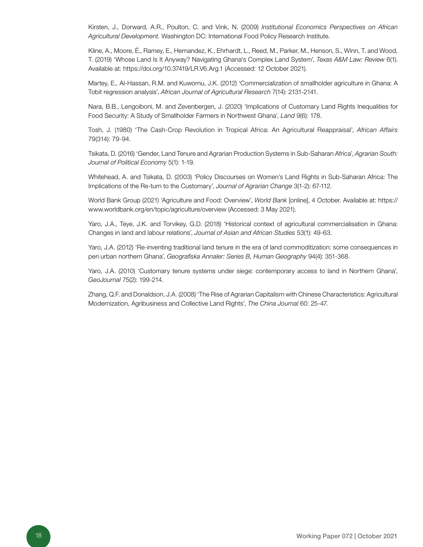Kirsten, J., Dorward, A.R., Poulton, C. and Vink, N. (2009) *Institutional Economics Perspectives on African Agricultural Development.* Washington DC: International Food Policy Research Institute.

Kline, A., Moore, É., Ramey, E., Hernandez, K., Ehrhardt, L., Reed, M., Parker, M., Henson, S., Winn, T. and Wood, T. (2019) 'Whose Land Is It Anyway? Navigating Ghana's Complex Land System', *Texas A&M Law: Review* 6(1). Available at: https://doi.org/10.37419/LR.V6.Arg.1 (Accessed: 12 October 2021).

Martey, E., Al-Hassan, R.M. and Kuwornu, J.K. (2012) 'Commercialization of smallholder agriculture in Ghana: A Tobit regression analysis', *African Journal of Agricultural Research* 7(14): 2131-2141.

Nara, B.B., Lengoiboni, M. and Zevenbergen, J. (2020) 'Implications of Customary Land Rights Inequalities for Food Security: A Study of Smallholder Farmers in Northwest Ghana', *Land* 9(6): 178.

Tosh, J. (1980) 'The Cash-Crop Revolution in Tropical Africa: An Agricultural Reappraisal', *African Affairs* 79(314): 79-94.

Tsikata, D. (2016) 'Gender, Land Tenure and Agrarian Production Systems in Sub-Saharan Africa', *Agrarian South: Journal of Political Economy* 5(1): 1-19.

Whitehead, A. and Tsikata, D. (2003) 'Policy Discourses on Women's Land Rights in Sub-Saharan Africa: The Implications of the Re-turn to the Customary', *Journal of Agrarian Change* 3(1-2): 67-112.

World Bank Group (2021) 'Agriculture and Food: Overview', *World Bank* [online], 4 October. Available at: https:// www.worldbank.org/en/topic/agriculture/overview (Accessed: 3 May 2021).

Yaro, J.A., Teye, J.K. and Torvikey, G.D. (2018) 'Historical context of agricultural commercialisation in Ghana: Changes in land and labour relations', *Journal of Asian and African Studies* 53(1): 49-63.

Yaro, J.A. (2012) 'Re‐inventing traditional land tenure in the era of land commoditization: some consequences in peri urban northern Ghana', *Geografiska Annaler: Series B, Human Geography* 94(4): 351-368.

Yaro, J.A. (2010) 'Customary tenure systems under siege: contemporary access to land in Northern Ghana', *GeoJournal* 75(2): 199-214.

Zhang, Q.F. and Donaldson, J.A. (2008) 'The Rise of Agrarian Capitalism with Chinese Characteristics: Agricultural Modernization, Agribusiness and Collective Land Rights', *The China Journal* 60: 25-47.